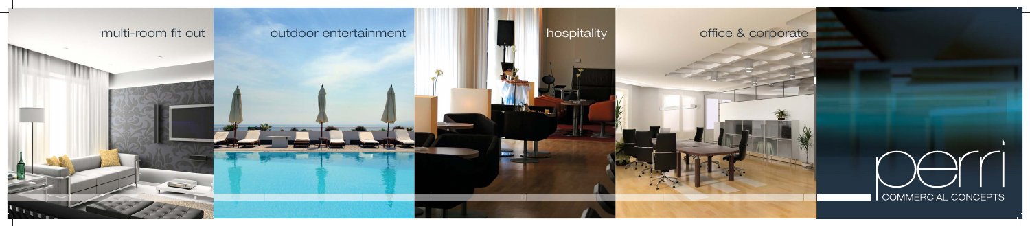

## outdoor entertainment



# office & corporate